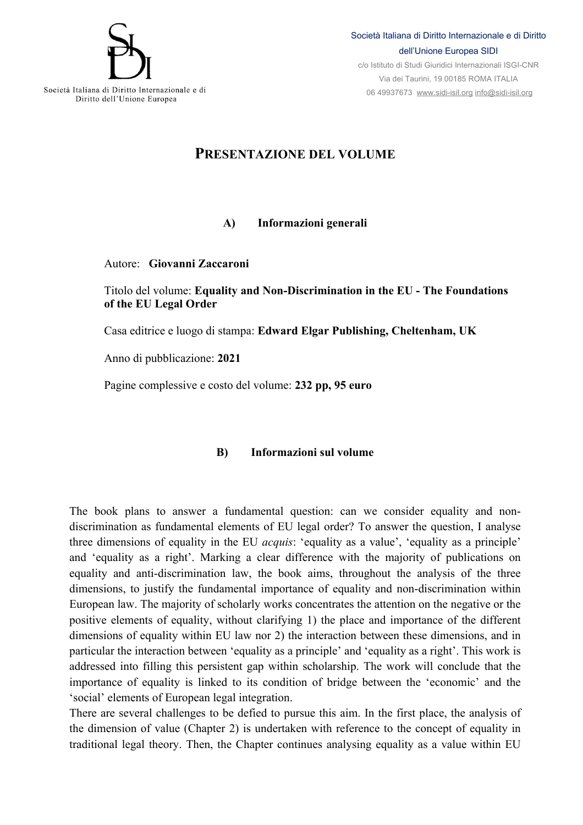

06 49937673 www.sidi-isil.org info@sidi-isil.org

Società Italiana di Diritto Internazionale e di Diritto dell'Unione Europea

## **PRESENTAZIONE DEL VOLUME**

## **A) Informazioni generali**

## Autore: **Giovanni Zaccaroni**

Titolo del volume: **Equality and Non-Discrimination in the EU - The Foundations of the EU Legal Order**

Casa editrice e luogo di stampa: **Edward Elgar Publishing, Cheltenham, UK**

Anno di pubblicazione: **2021**

Pagine complessive e costo del volume: **232 pp, 95 euro**

## **B) Informazioni sul volume**

The book plans to answer a fundamental question: can we consider equality and nondiscrimination as fundamental elements of EU legal order? To answer the question, I analyse three dimensions of equality in the EU *acquis*: 'equality as a value', 'equality as a principle' and 'equality as a right'. Marking a clear difference with the majority of publications on equality and anti-discrimination law, the book aims, throughout the analysis of the three dimensions, to justify the fundamental importance of equality and non-discrimination within European law. The majority of scholarly works concentrates the attention on the negative or the positive elements of equality, without clarifying 1) the place and importance of the different dimensions of equality within EU law nor 2) the interaction between these dimensions, and in particular the interaction between 'equality as a principle' and 'equality as a right'. This work is addressed into filling this persistent gap within scholarship. The work will conclude that the importance of equality is linked to its condition of bridge between the 'economic' and the 'social' elements of European legal integration.

There are several challenges to be defied to pursue this aim. In the first place, the analysis of the dimension of value (Chapter 2) is undertaken with reference to the concept of equality in traditional legal theory. Then, the Chapter continues analysing equality as a value within EU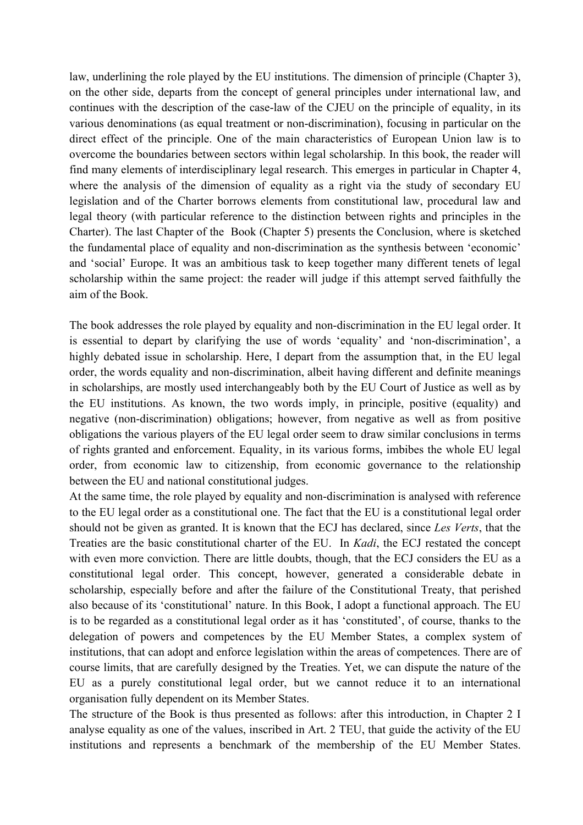law, underlining the role played by the EU institutions. The dimension of principle (Chapter 3), on the other side, departs from the concept of general principles under international law, and continues with the description of the case-law of the CJEU on the principle of equality, in its various denominations (as equal treatment or non-discrimination), focusing in particular on the direct effect of the principle. One of the main characteristics of European Union law is to overcome the boundaries between sectors within legal scholarship. In this book, the reader will find many elements of interdisciplinary legal research. This emerges in particular in Chapter 4, where the analysis of the dimension of equality as a right via the study of secondary EU legislation and of the Charter borrows elements from constitutional law, procedural law and legal theory (with particular reference to the distinction between rights and principles in the Charter). The last Chapter of the Book (Chapter 5) presents the Conclusion, where is sketched the fundamental place of equality and non-discrimination as the synthesis between 'economic' and 'social' Europe. It was an ambitious task to keep together many different tenets of legal scholarship within the same project: the reader will judge if this attempt served faithfully the aim of the Book.

The book addresses the role played by equality and non-discrimination in the EU legal order. It is essential to depart by clarifying the use of words 'equality' and 'non-discrimination', a highly debated issue in scholarship. Here, I depart from the assumption that, in the EU legal order, the words equality and non-discrimination, albeit having different and definite meanings in scholarships, are mostly used interchangeably both by the EU Court of Justice as well as by the EU institutions. As known, the two words imply, in principle, positive (equality) and negative (non-discrimination) obligations; however, from negative as well as from positive obligations the various players of the EU legal order seem to draw similar conclusions in terms of rights granted and enforcement. Equality, in its various forms, imbibes the whole EU legal order, from economic law to citizenship, from economic governance to the relationship between the EU and national constitutional judges.

At the same time, the role played by equality and non-discrimination is analysed with reference to the EU legal order as a constitutional one. The fact that the EU is a constitutional legal order should not be given as granted. It is known that the ECJ has declared, since *Les Verts*, that the Treaties are the basic constitutional charter of the EU. In *Kadi*, the ECJ restated the concept with even more conviction. There are little doubts, though, that the ECJ considers the EU as a constitutional legal order. This concept, however, generated a considerable debate in scholarship, especially before and after the failure of the Constitutional Treaty, that perished also because of its 'constitutional' nature. In this Book, I adopt a functional approach. The EU is to be regarded as a constitutional legal order as it has 'constituted', of course, thanks to the delegation of powers and competences by the EU Member States, a complex system of institutions, that can adopt and enforce legislation within the areas of competences. There are of course limits, that are carefully designed by the Treaties. Yet, we can dispute the nature of the EU as a purely constitutional legal order, but we cannot reduce it to an international organisation fully dependent on its Member States.

The structure of the Book is thus presented as follows: after this introduction, in Chapter 2 I analyse equality as one of the values, inscribed in Art. 2 TEU, that guide the activity of the EU institutions and represents a benchmark of the membership of the EU Member States.